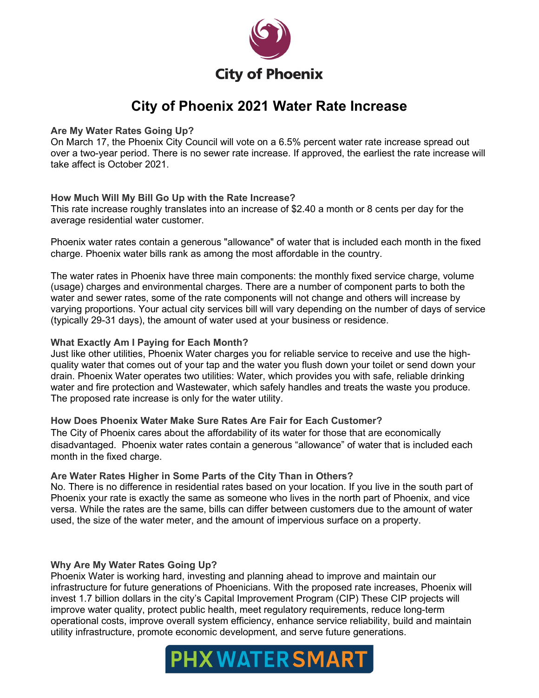

# **City of Phoenix 2021 Water Rate Increase**

# **Are My Water Rates Going Up?**

On March 17, the Phoenix City Council will vote on a 6.5% percent water rate increase spread out over a two-year period. There is no sewer rate increase. If approved, the earliest the rate increase will take affect is October 2021.

# **How Much Will My Bill Go Up with the Rate Increase?**

This rate increase roughly translates into an increase of \$2.40 a month or 8 cents per day for the average residential water customer.

Phoenix water rates contain a generous "allowance" of water that is included each month in the fixed charge. Phoenix water bills rank as among the most affordable in the country.

The water rates in Phoenix have three main components: the monthly fixed service charge, volume (usage) charges and environmental charges. There are a number of component parts to both the water and sewer rates, some of the rate components will not change and others will increase by varying proportions. Your actual city services bill will vary depending on the number of days of service (typically 29-31 days), the amount of water used at your business or residence.

### **What Exactly Am I Paying for Each Month?**

Just like other utilities, Phoenix Water charges you for reliable service to receive and use the highquality water that comes out of your tap and the water you flush down your toilet or send down your drain. Phoenix Water operates two utilities: Water, which provides you with safe, reliable drinking water and fire protection and Wastewater, which safely handles and treats the waste you produce. The proposed rate increase is only for the water utility.

# **How Does Phoenix Water Make Sure Rates Are Fair for Each Customer?**

The City of Phoenix cares about the affordability of its water for those that are economically disadvantaged. Phoenix water rates contain a generous "allowance" of water that is included each month in the fixed charge.

# **Are Water Rates Higher in Some Parts of the City Than in Others?**

No. There is no difference in residential rates based on your location. If you live in the south part of Phoenix your rate is exactly the same as someone who lives in the north part of Phoenix, and vice versa. While the rates are the same, bills can differ between customers due to the amount of water used, the size of the water meter, and the amount of impervious surface on a property.

# **Why Are My Water Rates Going Up?**

Phoenix Water is working hard, investing and planning ahead to improve and maintain our infrastructure for future generations of Phoenicians. With the proposed rate increases, Phoenix will invest 1.7 billion dollars in the city's Capital Improvement Program (CIP) These CIP projects will improve water quality, protect public health, meet regulatory requirements, reduce long-term operational costs, improve overall system efficiency, enhance service reliability, build and maintain utility infrastructure, promote economic development, and serve future generations.